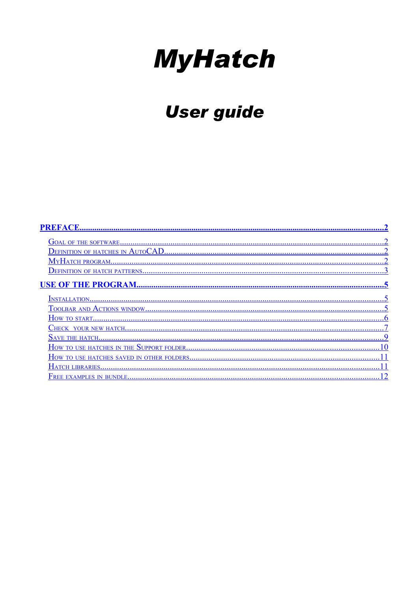# **MyHatch**

# **User guide**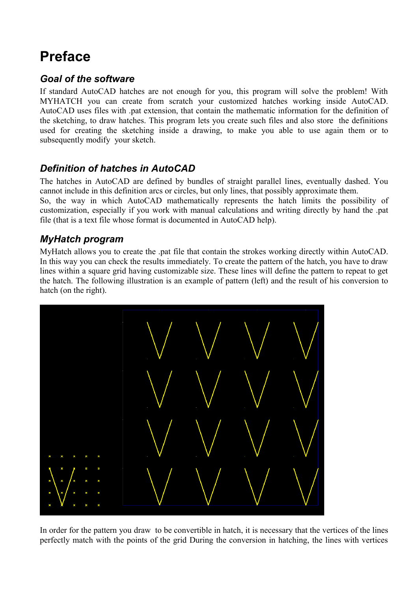### <span id="page-1-0"></span>**Preface**

#### <span id="page-1-3"></span>*Goal of the software*

If standard AutoCAD hatches are not enough for you, this program will solve the problem! With MYHATCH you can create from scratch your customized hatches working inside AutoCAD. AutoCAD uses files with .pat extension, that contain the mathematic information for the definition of the sketching, to draw hatches. This program lets you create such files and also store the definitions used for creating the sketching inside a drawing, to make you able to use again them or to subsequently modify your sketch.

#### <span id="page-1-2"></span>*Definition of hatches in AutoCAD*

The hatches in AutoCAD are defined by bundles of straight parallel lines, eventually dashed. You cannot include in this definition arcs or circles, but only lines, that possibly approximate them. So, the way in which AutoCAD mathematically represents the hatch limits the possibility of

customization, especially if you work with manual calculations and writing directly by hand the .pat file (that is a text file whose format is documented in AutoCAD help).

#### <span id="page-1-1"></span>*MyHatch program*

MyHatch allows you to create the .pat file that contain the strokes working directly within AutoCAD. In this way you can check the results immediately. To create the pattern of the hatch, you have to draw lines within a square grid having customizable size. These lines will define the pattern to repeat to get the hatch. The following illustration is an example of pattern (left) and the result of his conversion to hatch (on the right).



In order for the pattern you draw to be convertible in hatch, it is necessary that the vertices of the lines perfectly match with the points of the grid During the conversion in hatching, the lines with vertices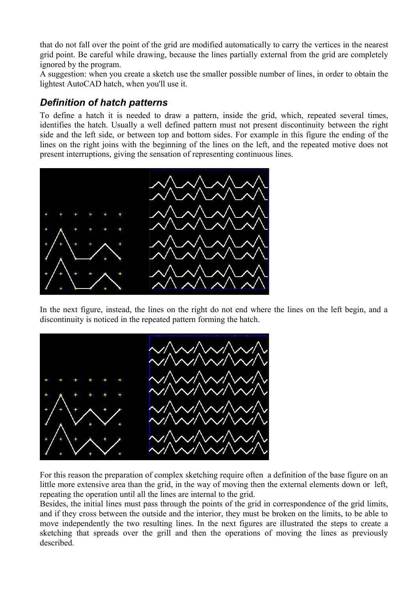that do not fall over the point of the grid are modified automatically to carry the vertices in the nearest grid point. Be careful while drawing, because the lines partially external from the grid are completely ignored by the program.

A suggestion: when you create a sketch use the smaller possible number of lines, in order to obtain the lightest AutoCAD hatch, when you'll use it.

#### <span id="page-2-0"></span>*Definition of hatch patterns*

To define a hatch it is needed to draw a pattern, inside the grid, which, repeated several times, identifies the hatch. Usually a well defined pattern must not present discontinuity between the right side and the left side, or between top and bottom sides. For example in this figure the ending of the lines on the right joins with the beginning of the lines on the left, and the repeated motive does not present interruptions, giving the sensation of representing continuous lines.



In the next figure, instead, the lines on the right do not end where the lines on the left begin, and a discontinuity is noticed in the repeated pattern forming the hatch.



For this reason the preparation of complex sketching require often a definition of the base figure on an little more extensive area than the grid, in the way of moving then the external elements down or left, repeating the operation until all the lines are internal to the grid.

Besides, the initial lines must pass through the points of the grid in correspondence of the grid limits, and if they cross between the outside and the interior, they must be broken on the limits, to be able to move independently the two resulting lines. In the next figures are illustrated the steps to create a sketching that spreads over the grill and then the operations of moving the lines as previously described.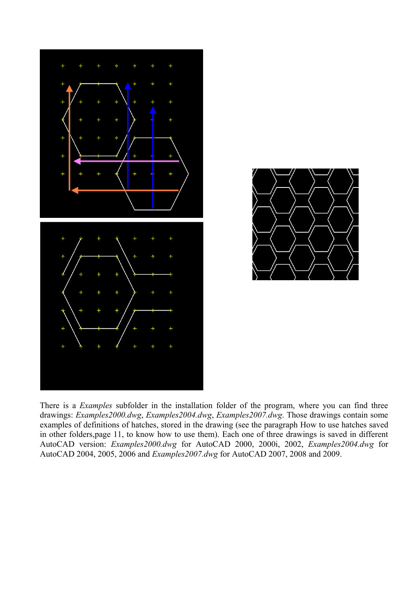



There is a *Examples* subfolder in the installation folder of the program, where you can find three drawings: *Examples2000.dwg*, *Examples2004.dwg*, *Examples2007.dwg*. Those drawings contain some examples of definitions of hatches, stored in the drawing (see the paragraph [How to use hatches saved](#page-10-1) [in other folders,](#page-10-1)page [11,](#page-10-1) to know how to use them). Each one of three drawings is saved in different AutoCAD version: *Examples2000.dwg* for AutoCAD 2000, 2000i, 2002, *Examples2004.dwg* for AutoCAD 2004, 2005, 2006 and *Examples2007.dwg* for AutoCAD 2007, 2008 and 2009.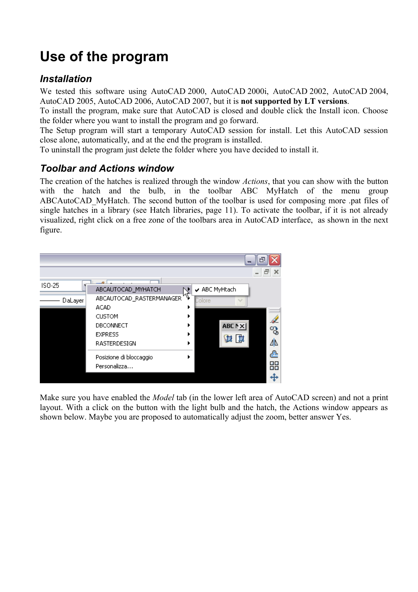## <span id="page-4-2"></span>**Use of the program**

#### <span id="page-4-1"></span>*Installation*

We tested this software using AutoCAD 2000, AutoCAD 2000i, AutoCAD 2002, AutoCAD 2004, AutoCAD 2005, AutoCAD 2006, AutoCAD 2007, but it is **not supported by LT versions**.

To install the program, make sure that AutoCAD is closed and double click the Install icon. Choose the folder where you want to install the program and go forward.

The Setup program will start a temporary AutoCAD session for install. Let this AutoCAD session close alone, automatically, and at the end the program is installed.

To uninstall the program just delete the folder where you have decided to install it.

#### <span id="page-4-0"></span>*Toolbar and Actions window*

The creation of the hatches is realized through the window *Actions*, that you can show with the button with the hatch and the bulb, in the toolbar ABC MyHatch of the menu group ABCAutoCAD\_MyHatch. The second button of the toolbar is used for composing more .pat files of single hatches in a library (see [Hatch libraries,](#page-10-0) page [11\)](#page-10-0). To activate the toolbar, if it is not already visualized, right click on a free zone of the toolbars area in AutoCAD interface, as shown in the next figure.



Make sure you have enabled the *Model* tab (in the lower left area of AutoCAD screen) and not a print layout. With a click on the button with the light bulb and the hatch, the Actions window appears as shown below. Maybe you are proposed to automatically adjust the zoom, better answer Yes.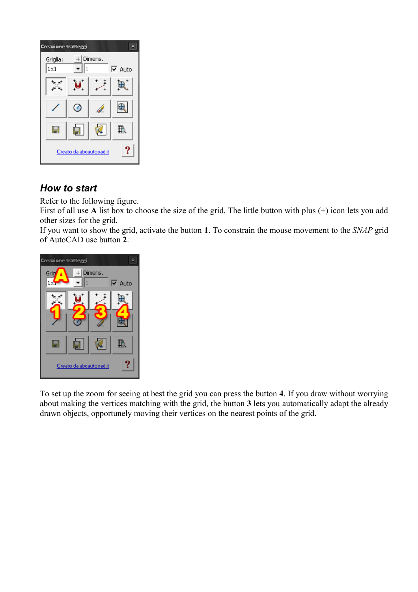

#### <span id="page-5-0"></span>*How to start*

Refer to the following figure.

First of all use **A** list box to choose the size of the grid. The little button with plus (+) icon lets you add other sizes for the grid.

If you want to show the grid, activate the button **1**. To constrain the mouse movement to the *SNAP* grid of AutoCAD use button **2**.



To set up the zoom for seeing at best the grid you can press the button **4**. If you draw without worrying about making the vertices matching with the grid, the button **3** lets you automatically adapt the already drawn objects, opportunely moving their vertices on the nearest points of the grid.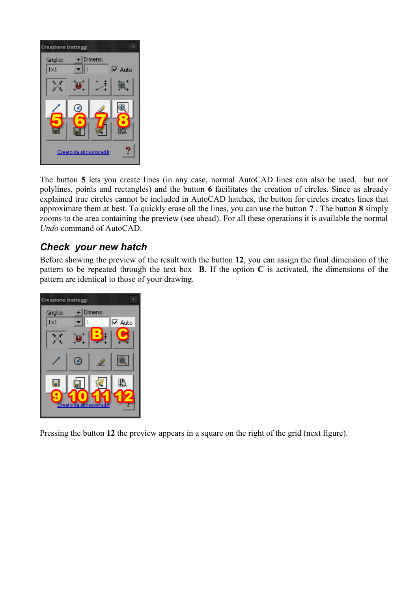

The button **5** lets you create lines (in any case, normal AutoCAD lines can also be used, but not polylines, points and rectangles) and the button **6** facilitates the creation of circles. Since as already explained true circles cannot be included in AutoCAD hatches, the button for circles creates lines that approximate them at best. To quickly erase all the lines, you can use the button **7** . The button **8** simply zooms to the area containing the preview (see ahead). For all these operations it is available the normal *Undo* command of AutoCAD.

#### <span id="page-6-0"></span>*Check your new hatch*

Before showing the preview of the result with the button **12**, you can assign the final dimension of the pattern to be repeated through the text box **B**. If the option **C** is activated, the dimensions of the pattern are identical to those of your drawing.



Pressing the button 12 the preview appears in a square on the right of the grid (next figure).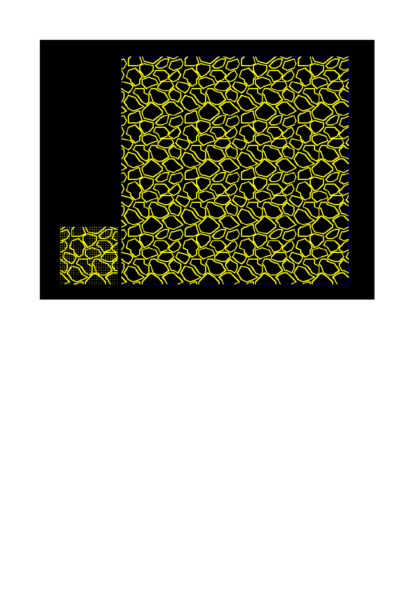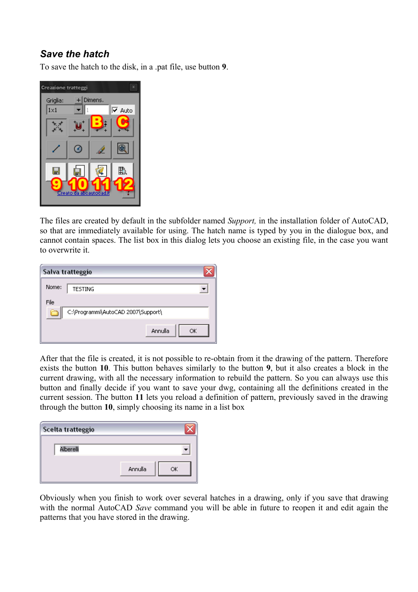#### <span id="page-8-0"></span>*Save the hatch*

To save the hatch to the disk, in a .pat file, use button **9**.



The files are created by default in the subfolder named *Support,* in the installation folder of AutoCAD, so that are immediately available for using. The hatch name is typed by you in the dialogue box, and cannot contain spaces. The list box in this dialog lets you choose an existing file, in the case you want to overwrite it.

|       | Salva tratteggio                   |  |
|-------|------------------------------------|--|
| Nome: | <b>TESTING</b>                     |  |
| File  |                                    |  |
|       | C:\Programmi\AutoCAD 2007\Support\ |  |
|       | Annulla<br>ОК                      |  |

After that the file is created, it is not possible to re-obtain from it the drawing of the pattern. Therefore exists the button **10**. This button behaves similarly to the button **9**, but it also creates a block in the current drawing, with all the necessary information to rebuild the pattern. So you can always use this button and finally decide if you want to save your dwg, containing all the definitions created in the current session. The button **11** lets you reload a definition of pattern, previously saved in the drawing through the button **10**, simply choosing its name in a list box

| Scelta tratteggio |         |    |
|-------------------|---------|----|
| Alberelli         |         |    |
|                   | Annulla | ОК |

Obviously when you finish to work over several hatches in a drawing, only if you save that drawing with the normal AutoCAD *Save* command you will be able in future to reopen it and edit again the patterns that you have stored in the drawing.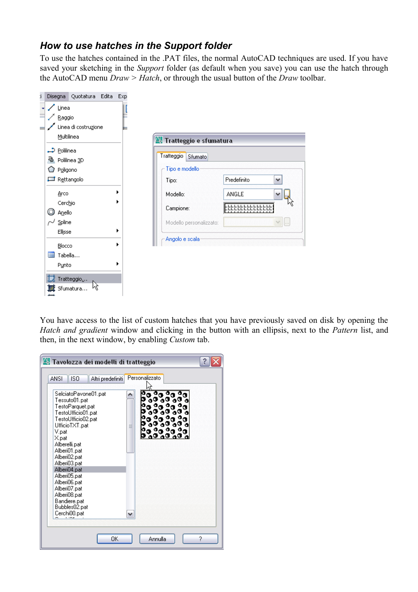#### <span id="page-9-0"></span>*How to use hatches in the Support folder*

To use the hatches contained in the .PAT files, the normal AutoCAD techniques are used. If you have saved your sketching in the *Support* folder (as default when you save) you can use the hatch through the AutoCAD menu *Draw > Hatch*, or through the usual button of the *Draw* toolbar.

| j.   | Quotatura Edita Exp<br>Disegna |   |
|------|--------------------------------|---|
|      | Linea                          |   |
|      | Raggio                         |   |
|      | Linea di costruzione           |   |
|      | Multilinea                     |   |
|      | Polilinea                      |   |
| డ్డి | Polilinea 3D                   |   |
|      | Poligono                       |   |
|      | $\Box$ Rettangolo              |   |
|      | Arco                           | ▶ |
|      | Cerchio                        |   |
|      | Anello                         |   |
|      | Spline                         |   |
|      | Ellisse                        |   |
|      | Blocco                         |   |
| ₩    | Tabella                        |   |
|      | Punto                          |   |
|      |                                |   |
|      | $\mathsf{Tratteggio}\ldots$    |   |
|      | Sfumatura                      |   |

You have access to the list of custom hatches that you have previously saved on disk by opening the *Hatch and gradient* window and clicking in the button with an ellipsis, next to the *Pattern* list, and then, in the next window, by enabling *Custom* tab.

| Tavolozza dei modelli di tratteggio<br>ISO<br>ANSI<br>Altri predefiniti                                                                                                                                                                                                                                                                     |   | Personalizzato |         |
|---------------------------------------------------------------------------------------------------------------------------------------------------------------------------------------------------------------------------------------------------------------------------------------------------------------------------------------------|---|----------------|---------|
| SelciatoPavone01.pat<br>Tessuto01.pat<br>TestoParquet.pat<br>TestoUfficio01.pat<br>TestoUfficio02.pat<br>UfficioTXT.pat<br>V.pat<br>X.pat<br>Alberelli.pat<br>Alberi01.pat<br>Alberi02.pat<br>Alberi03.pat<br>Alberi04.pat<br>Alberi05.pat<br>Alberi06.pat<br>Alberi07.pat<br>Alberi08.pat<br>Bandiere.pat<br>Bubbles02.pat<br>Cerchi00.pat | ٧ | 20 A.G<br>কে   | a.<br>O |
| OΚ                                                                                                                                                                                                                                                                                                                                          |   | Annulla        | 2       |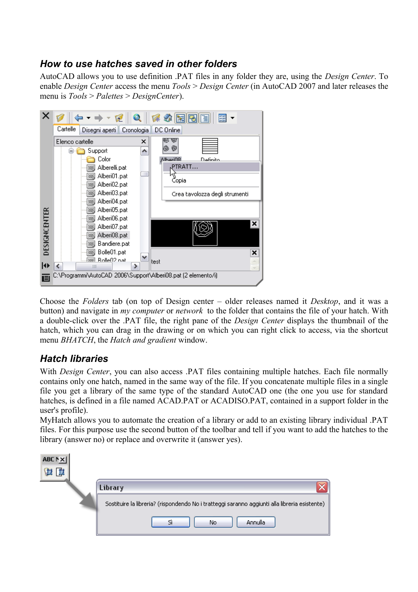#### <span id="page-10-1"></span>*How to use hatches saved in other folders*

AutoCAD allows you to use definition .PAT files in any folder they are, using the *Design Center*. To enable *Design Center* access the menu *Tools* > *Design Center* (in AutoCAD 2007 and later releases the menu is *Tools* > *Palettes* > *DesignCenter*).



Choose the *Folders* tab (on top of Design center – older releases named it *Desktop*, and it was a button) and navigate in *my computer* or *network* to the folder that contains the file of your hatch. With a double-click over the .PAT file, the right pane of the *Design Center* displays the thumbnail of the hatch, which you can drag in the drawing or on which you can right click to access, via the shortcut menu *BHATCH*, the *Hatch and gradient* window.

#### <span id="page-10-0"></span>*Hatch libraries*

With *Design Center*, you can also access .PAT files containing multiple hatches. Each file normally contains only one hatch, named in the same way of the file. If you concatenate multiple files in a single file you get a library of the same type of the standard AutoCAD one (the one you use for standard hatches, is defined in a file named ACAD.PAT or ACADISO.PAT, contained in a support folder in the user's profile).

MyHatch allows you to automate the creation of a library or add to an existing library individual .PAT files. For this purpose use the second button of the toolbar and tell if you want to add the hatches to the library (answer no) or replace and overwrite it (answer yes).

| ABC N X |                                                                                               |
|---------|-----------------------------------------------------------------------------------------------|
|         | <b>Library</b>                                                                                |
|         | Sostituire la libreria? (rispondendo No i tratteggi saranno aggiunti alla libreria esistente) |
|         | Annulla<br>Sì<br>No.                                                                          |